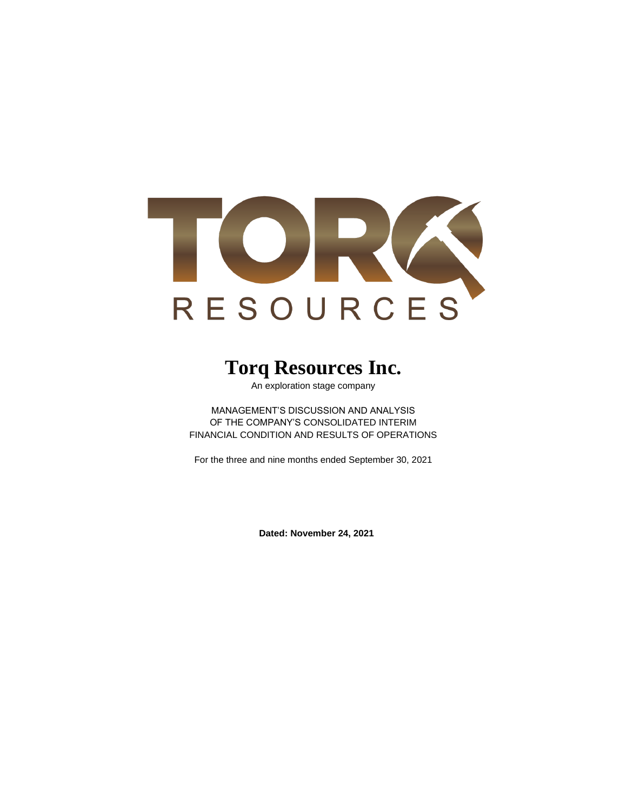

# **Torq Resources Inc.**

An exploration stage company

MANAGEMENT'S DISCUSSION AND ANALYSIS OF THE COMPANY'S CONSOLIDATED INTERIM FINANCIAL CONDITION AND RESULTS OF OPERATIONS

For the three and nine months ended September 30, 2021

**Dated: November 24, 2021**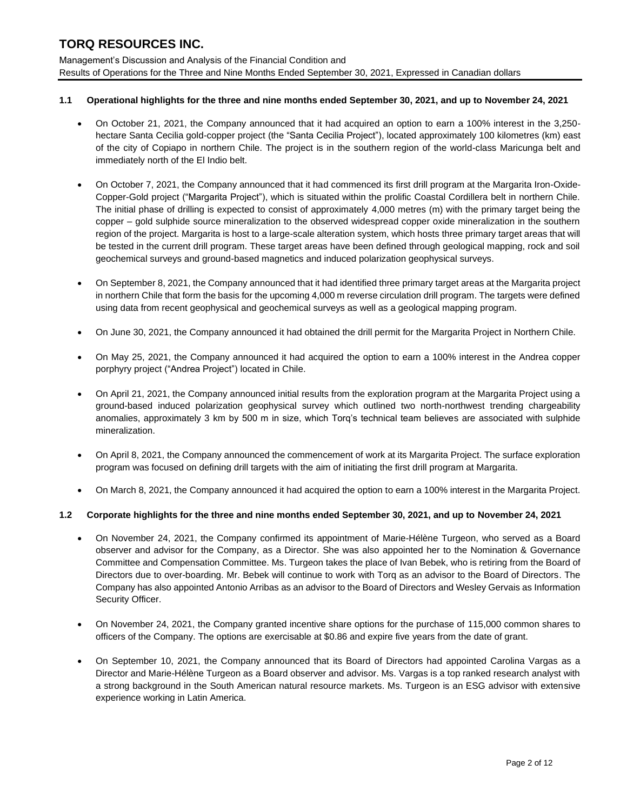Management's Discussion and Analysis of the Financial Condition and Results of Operations for the Three and Nine Months Ended September 30, 2021, Expressed in Canadian dollars

### **1.1 Operational highlights for the three and nine months ended September 30, 2021, and up to November 24, 2021**

- On October 21, 2021, the Company announced that it had acquired an option to earn a 100% interest in the 3,250 hectare Santa Cecilia gold-copper project (the "Santa Cecilia Project"), located approximately 100 kilometres (km) east of the city of Copiapo in northern Chile. The project is in the southern region of the world-class Maricunga belt and immediately north of the El Indio belt.
- On October 7, 2021, the Company announced that it had commenced its first drill program at the Margarita Iron-Oxide-Copper-Gold project ("Margarita Project"), which is situated within the prolific Coastal Cordillera belt in northern Chile. The initial phase of drilling is expected to consist of approximately 4,000 metres (m) with the primary target being the copper – gold sulphide source mineralization to the observed widespread copper oxide mineralization in the southern region of the project. Margarita is host to a large-scale alteration system, which hosts three primary target areas that will be tested in the current drill program. These target areas have been defined through geological mapping, rock and soil geochemical surveys and ground-based magnetics and induced polarization geophysical surveys.
- On September 8, 2021, the Company announced that it had identified three primary target areas at the Margarita project in northern Chile that form the basis for the upcoming 4,000 m reverse circulation drill program. The targets were defined using data from recent geophysical and geochemical surveys as well as a geological mapping program.
- On June 30, 2021, the Company announced it had obtained the drill permit for the Margarita Project in Northern Chile.
- On May 25, 2021, the Company announced it had acquired the option to earn a 100% interest in the Andrea copper porphyry project ("Andrea Project") located in Chile.
- On April 21, 2021, the Company announced initial results from the exploration program at the Margarita Project using a ground-based induced polarization geophysical survey which outlined two north-northwest trending chargeability anomalies, approximately 3 km by 500 m in size, which Torq's technical team believes are associated with sulphide mineralization.
- On April 8, 2021, the Company announced the commencement of work at its Margarita Project. The surface exploration program was focused on defining drill targets with the aim of initiating the first drill program at Margarita.
- On March 8, 2021, the Company announced it had acquired the option to earn a 100% interest in the Margarita Project.

### **1.2 Corporate highlights for the three and nine months ended September 30, 2021, and up to November 24, 2021**

- On November 24, 2021, the Company confirmed its appointment of Marie-Hélène Turgeon, who served as a Board observer and advisor for the Company, as a Director. She was also appointed her to the Nomination & Governance Committee and Compensation Committee. Ms. Turgeon takes the place of Ivan Bebek, who is retiring from the Board of Directors due to over-boarding. Mr. Bebek will continue to work with Torq as an advisor to the Board of Directors. The Company has also appointed Antonio Arribas as an advisor to the Board of Directors and Wesley Gervais as Information Security Officer.
- On November 24, 2021, the Company granted incentive share options for the purchase of 115,000 common shares to officers of the Company. The options are exercisable at \$0.86 and expire five years from the date of grant.
- On September 10, 2021, the Company announced that its Board of Directors had appointed Carolina Vargas as a Director and Marie-Hélène Turgeon as a Board observer and advisor. Ms. Vargas is a top ranked research analyst with a strong background in the South American natural resource markets. Ms. Turgeon is an ESG advisor with extensive experience working in Latin America.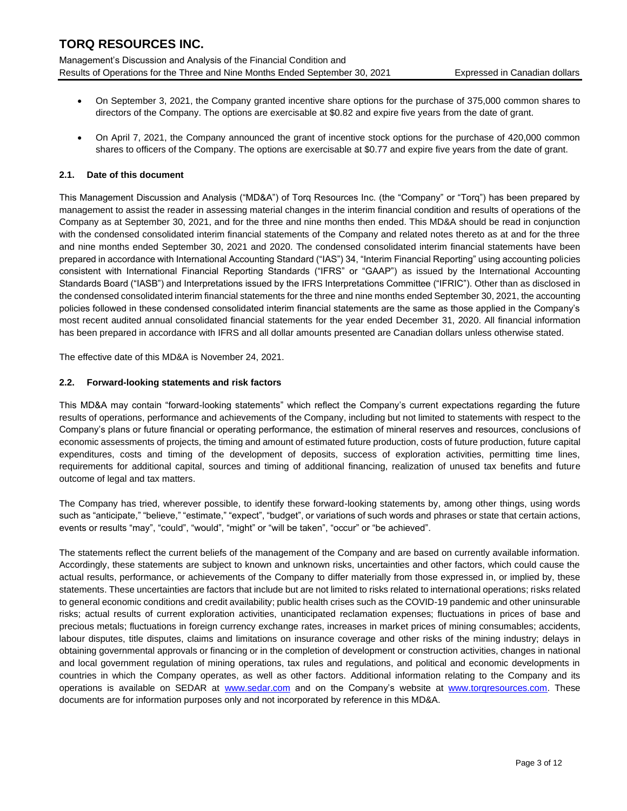Management's Discussion and Analysis of the Financial Condition and Results of Operations for the Three and Nine Months Ended September 30, 2021 Expressed in Canadian dollars

- On September 3, 2021, the Company granted incentive share options for the purchase of 375,000 common shares to directors of the Company. The options are exercisable at \$0.82 and expire five years from the date of grant.
- On April 7, 2021, the Company announced the grant of incentive stock options for the purchase of 420,000 common shares to officers of the Company. The options are exercisable at \$0.77 and expire five years from the date of grant.

# **2.1. Date of this document**

This Management Discussion and Analysis ("MD&A") of Torq Resources Inc. (the "Company" or "Torq") has been prepared by management to assist the reader in assessing material changes in the interim financial condition and results of operations of the Company as at September 30, 2021, and for the three and nine months then ended. This MD&A should be read in conjunction with the condensed consolidated interim financial statements of the Company and related notes thereto as at and for the three and nine months ended September 30, 2021 and 2020. The condensed consolidated interim financial statements have been prepared in accordance with International Accounting Standard ("IAS") 34, "Interim Financial Reporting" using accounting policies consistent with International Financial Reporting Standards ("IFRS" or "GAAP") as issued by the International Accounting Standards Board ("IASB") and Interpretations issued by the IFRS Interpretations Committee ("IFRIC"). Other than as disclosed in the condensed consolidated interim financial statements for the three and nine months ended September 30, 2021, the accounting policies followed in these condensed consolidated interim financial statements are the same as those applied in the Company's most recent audited annual consolidated financial statements for the year ended December 31, 2020. All financial information has been prepared in accordance with IFRS and all dollar amounts presented are Canadian dollars unless otherwise stated.

The effective date of this MD&A is November 24, 2021.

#### **2.2. Forward-looking statements and risk factors**

This MD&A may contain "forward-looking statements" which reflect the Company's current expectations regarding the future results of operations, performance and achievements of the Company, including but not limited to statements with respect to the Company's plans or future financial or operating performance, the estimation of mineral reserves and resources, conclusions of economic assessments of projects, the timing and amount of estimated future production, costs of future production, future capital expenditures, costs and timing of the development of deposits, success of exploration activities, permitting time lines, requirements for additional capital, sources and timing of additional financing, realization of unused tax benefits and future outcome of legal and tax matters.

The Company has tried, wherever possible, to identify these forward-looking statements by, among other things, using words such as "anticipate," "believe," "estimate," "expect", "budget", or variations of such words and phrases or state that certain actions, events or results "may", "could", "would", "might" or "will be taken", "occur" or "be achieved".

The statements reflect the current beliefs of the management of the Company and are based on currently available information. Accordingly, these statements are subject to known and unknown risks, uncertainties and other factors, which could cause the actual results, performance, or achievements of the Company to differ materially from those expressed in, or implied by, these statements. These uncertainties are factors that include but are not limited to risks related to international operations; risks related to general economic conditions and credit availability; public health crises such as the COVID-19 pandemic and other uninsurable risks; actual results of current exploration activities, unanticipated reclamation expenses; fluctuations in prices of base and precious metals; fluctuations in foreign currency exchange rates, increases in market prices of mining consumables; accidents, labour disputes, title disputes, claims and limitations on insurance coverage and other risks of the mining industry; delays in obtaining governmental approvals or financing or in the completion of development or construction activities, changes in national and local government regulation of mining operations, tax rules and regulations, and political and economic developments in countries in which the Company operates, as well as other factors. Additional information relating to the Company and its operations is available on SEDAR at [www.sedar.com](http://www.sedar.com/) and on the Company's website at www.torgresources.com. These documents are for information purposes only and not incorporated by reference in this MD&A.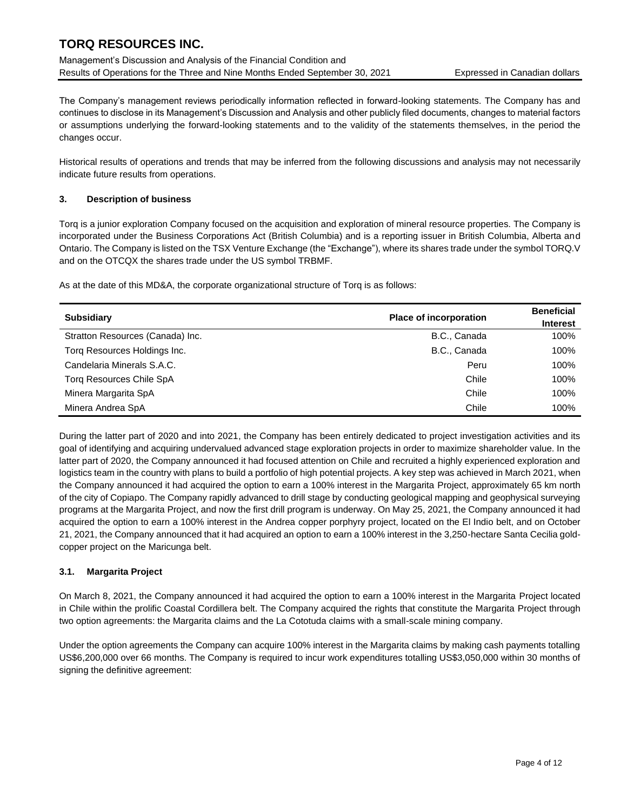Management's Discussion and Analysis of the Financial Condition and Results of Operations for the Three and Nine Months Ended September 30, 2021 Expressed in Canadian dollars

The Company's management reviews periodically information reflected in forward-looking statements. The Company has and continues to disclose in its Management's Discussion and Analysis and other publicly filed documents, changes to material factors or assumptions underlying the forward-looking statements and to the validity of the statements themselves, in the period the changes occur.

Historical results of operations and trends that may be inferred from the following discussions and analysis may not necessarily indicate future results from operations.

# **3. Description of business**

Torq is a junior exploration Company focused on the acquisition and exploration of mineral resource properties. The Company is incorporated under the Business Corporations Act (British Columbia) and is a reporting issuer in British Columbia, Alberta and Ontario. The Company is listed on the TSX Venture Exchange (the "Exchange"), where its shares trade under the symbol TORQ.V and on the OTCQX the shares trade under the US symbol TRBMF.

As at the date of this MD&A, the corporate organizational structure of Torq is as follows:

| <b>Subsidiary</b>                | <b>Place of incorporation</b> | <b>Beneficial</b><br><b>Interest</b> |
|----------------------------------|-------------------------------|--------------------------------------|
| Stratton Resources (Canada) Inc. | B.C., Canada                  | 100%                                 |
| Torg Resources Holdings Inc.     | B.C., Canada                  | 100%                                 |
| Candelaria Minerals S.A.C.       | Peru                          | 100%                                 |
| <b>Torg Resources Chile SpA</b>  | Chile                         | 100%                                 |
| Minera Margarita SpA             | Chile                         | 100%                                 |
| Minera Andrea SpA                | Chile                         | 100%                                 |

During the latter part of 2020 and into 2021, the Company has been entirely dedicated to project investigation activities and its goal of identifying and acquiring undervalued advanced stage exploration projects in order to maximize shareholder value. In the latter part of 2020, the Company announced it had focused attention on Chile and recruited a highly experienced exploration and logistics team in the country with plans to build a portfolio of high potential projects. A key step was achieved in March 2021, when the Company announced it had acquired the option to earn a 100% interest in the Margarita Project, approximately 65 km north of the city of Copiapo. The Company rapidly advanced to drill stage by conducting geological mapping and geophysical surveying programs at the Margarita Project, and now the first drill program is underway. On May 25, 2021, the Company announced it had acquired the option to earn a 100% interest in the Andrea copper porphyry project, located on the El Indio belt, and on October 21, 2021, the Company announced that it had acquired an option to earn a 100% interest in the 3,250-hectare Santa Cecilia goldcopper project on the Maricunga belt.

# **3.1. Margarita Project**

On March 8, 2021, the Company announced it had acquired the option to earn a 100% interest in the Margarita Project located in Chile within the prolific Coastal Cordillera belt. The Company acquired the rights that constitute the Margarita Project through two option agreements: the Margarita claims and the La Cototuda claims with a small-scale mining company.

Under the option agreements the Company can acquire 100% interest in the Margarita claims by making cash payments totalling US\$6,200,000 over 66 months. The Company is required to incur work expenditures totalling US\$3,050,000 within 30 months of signing the definitive agreement: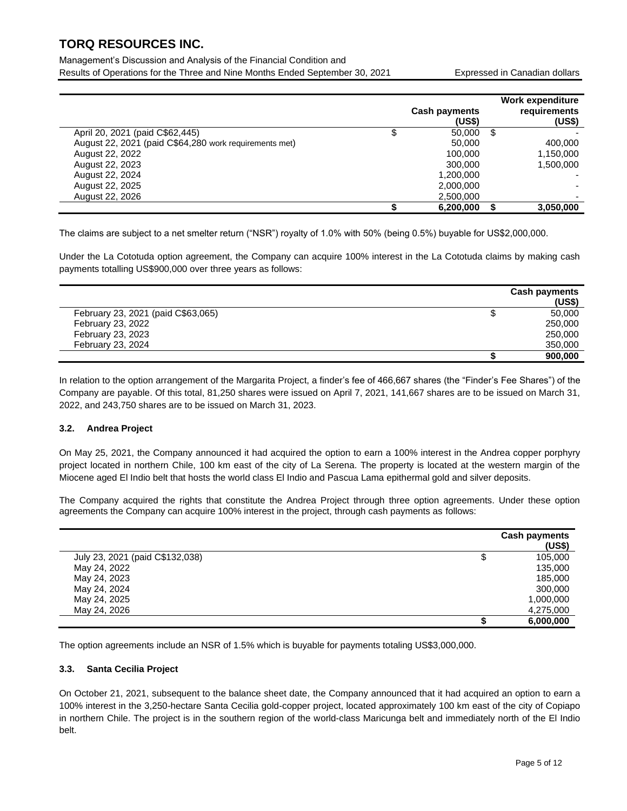Management's Discussion and Analysis of the Financial Condition and Results of Operations for the Three and Nine Months Ended September 30, 2021 Expressed in Canadian dollars

|                                                        | <b>Cash payments</b><br>(US\$) | Work expenditure<br>requirements<br>(US\$) |
|--------------------------------------------------------|--------------------------------|--------------------------------------------|
| April 20, 2021 (paid C\$62,445)                        | 50,000                         | \$                                         |
| August 22, 2021 (paid C\$64,280 work requirements met) | 50,000                         | 400,000                                    |
| August 22, 2022                                        | 100,000                        | 1,150,000                                  |
| August 22, 2023                                        | 300,000                        | 1,500,000                                  |
| August 22, 2024                                        | 1,200,000                      |                                            |
| August 22, 2025                                        | 2,000,000                      |                                            |
| August 22, 2026                                        | 2,500,000                      |                                            |
|                                                        | 6,200,000                      | 3,050,000                                  |

The claims are subject to a net smelter return ("NSR") royalty of 1.0% with 50% (being 0.5%) buyable for US\$2,000,000.

Under the La Cototuda option agreement, the Company can acquire 100% interest in the La Cototuda claims by making cash payments totalling US\$900,000 over three years as follows:

|                                    | <b>Cash payments</b> |
|------------------------------------|----------------------|
|                                    | (US\$)               |
| February 23, 2021 (paid C\$63,065) | 50,000               |
| February 23, 2022                  | 250,000              |
| February 23, 2023                  | 250,000              |
| February 23, 2024                  | 350,000              |
|                                    | 900.000              |

In relation to the option arrangement of the Margarita Project, a finder's fee of 466,667 shares (the "Finder's Fee Shares") of the Company are payable. Of this total, 81,250 shares were issued on April 7, 2021, 141,667 shares are to be issued on March 31, 2022, and 243,750 shares are to be issued on March 31, 2023.

### **3.2. Andrea Project**

On May 25, 2021, the Company announced it had acquired the option to earn a 100% interest in the Andrea copper porphyry project located in northern Chile, 100 km east of the city of La Serena. The property is located at the western margin of the Miocene aged El Indio belt that hosts the world class El Indio and Pascua Lama epithermal gold and silver deposits.

The Company acquired the rights that constitute the Andrea Project through three option agreements. Under these option agreements the Company can acquire 100% interest in the project, through cash payments as follows:

|                                 | <b>Cash payments</b><br>(US\$) |
|---------------------------------|--------------------------------|
| July 23, 2021 (paid C\$132,038) | 105,000                        |
| May 24, 2022                    | 135,000                        |
| May 24, 2023                    | 185,000                        |
| May 24, 2024                    | 300,000                        |
| May 24, 2025                    | 1,000,000                      |
| May 24, 2026                    | 4,275,000                      |
|                                 | 6,000,000                      |

The option agreements include an NSR of 1.5% which is buyable for payments totaling US\$3,000,000.

### **3.3. Santa Cecilia Project**

On October 21, 2021, subsequent to the balance sheet date, the Company announced that it had acquired an option to earn a 100% interest in the 3,250-hectare Santa Cecilia gold-copper project, located approximately 100 km east of the city of Copiapo in northern Chile. The project is in the southern region of the world-class Maricunga belt and immediately north of the El Indio belt.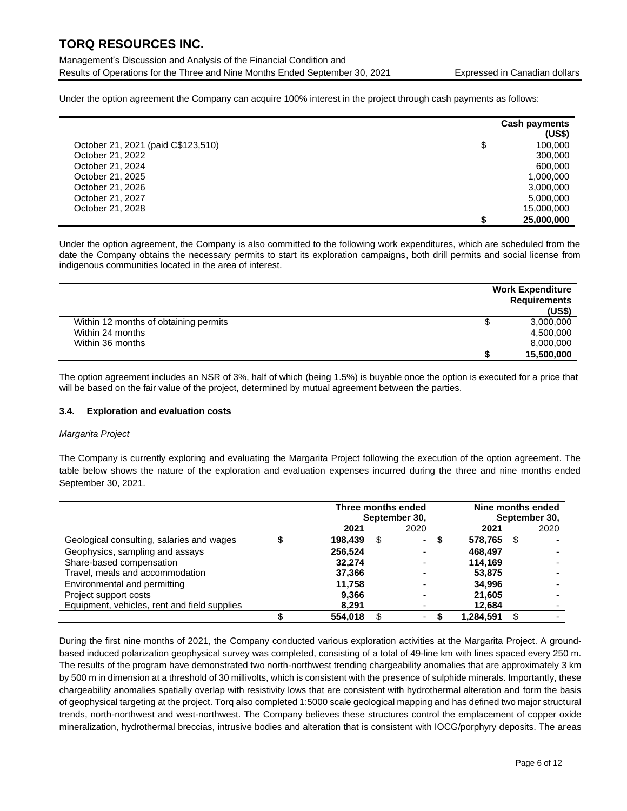Management's Discussion and Analysis of the Financial Condition and Results of Operations for the Three and Nine Months Ended September 30, 2021 Expressed in Canadian dollars

Under the option agreement the Company can acquire 100% interest in the project through cash payments as follows:

|                                    | <b>Cash payments</b><br>(US\$) |
|------------------------------------|--------------------------------|
| October 21, 2021 (paid C\$123,510) | \$<br>100,000                  |
| October 21, 2022                   | 300,000                        |
| October 21, 2024                   | 600,000                        |
| October 21, 2025                   | 1,000,000                      |
| October 21, 2026                   | 3,000,000                      |
| October 21, 2027                   | 5,000,000                      |
| October 21, 2028                   | 15,000,000                     |
|                                    | 25,000,000                     |

Under the option agreement, the Company is also committed to the following work expenditures, which are scheduled from the date the Company obtains the necessary permits to start its exploration campaigns, both drill permits and social license from indigenous communities located in the area of interest.

|                                       | <b>Work Expenditure</b><br><b>Requirements</b><br>(US\$) |
|---------------------------------------|----------------------------------------------------------|
| Within 12 months of obtaining permits | 3,000,000                                                |
| Within 24 months                      | 4,500,000                                                |
| Within 36 months                      | 8,000,000                                                |
|                                       | 15,500,000                                               |

The option agreement includes an NSR of 3%, half of which (being 1.5%) is buyable once the option is executed for a price that will be based on the fair value of the project, determined by mutual agreement between the parties.

### **3.4. Exploration and evaluation costs**

### *Margarita Project*

The Company is currently exploring and evaluating the Margarita Project following the execution of the option agreement. The table below shows the nature of the exploration and evaluation expenses incurred during the three and nine months ended September 30, 2021.

|                                              |         | Three months ended<br>September 30, | Nine months ended<br>September 30, |   |           |    |      |
|----------------------------------------------|---------|-------------------------------------|------------------------------------|---|-----------|----|------|
|                                              | 2021    |                                     | 2020                               |   | 2021      |    | 2020 |
| Geological consulting, salaries and wages    | 198,439 | \$                                  | $\overline{\phantom{a}}$           | ъ | 578,765   | \$ |      |
| Geophysics, sampling and assays              | 256.524 |                                     |                                    |   | 468.497   |    |      |
| Share-based compensation                     | 32.274  |                                     |                                    |   | 114.169   |    |      |
| Travel, meals and accommodation              | 37,366  |                                     |                                    |   | 53,875    |    |      |
| Environmental and permitting                 | 11.758  |                                     |                                    |   | 34.996    |    |      |
| Project support costs                        | 9,366   |                                     |                                    |   | 21.605    |    |      |
| Equipment, vehicles, rent and field supplies | 8.291   |                                     |                                    |   | 12,684    |    |      |
|                                              | 554.018 |                                     |                                    |   | 1.284.591 |    |      |

During the first nine months of 2021, the Company conducted various exploration activities at the Margarita Project. A groundbased induced polarization geophysical survey was completed, consisting of a total of 49-line km with lines spaced every 250 m. The results of the program have demonstrated two north-northwest trending chargeability anomalies that are approximately 3 km by 500 m in dimension at a threshold of 30 millivolts, which is consistent with the presence of sulphide minerals. Importantly, these chargeability anomalies spatially overlap with resistivity lows that are consistent with hydrothermal alteration and form the basis of geophysical targeting at the project. Torq also completed 1:5000 scale geological mapping and has defined two major structural trends, north-northwest and west-northwest. The Company believes these structures control the emplacement of copper oxide mineralization, hydrothermal breccias, intrusive bodies and alteration that is consistent with IOCG/porphyry deposits. The areas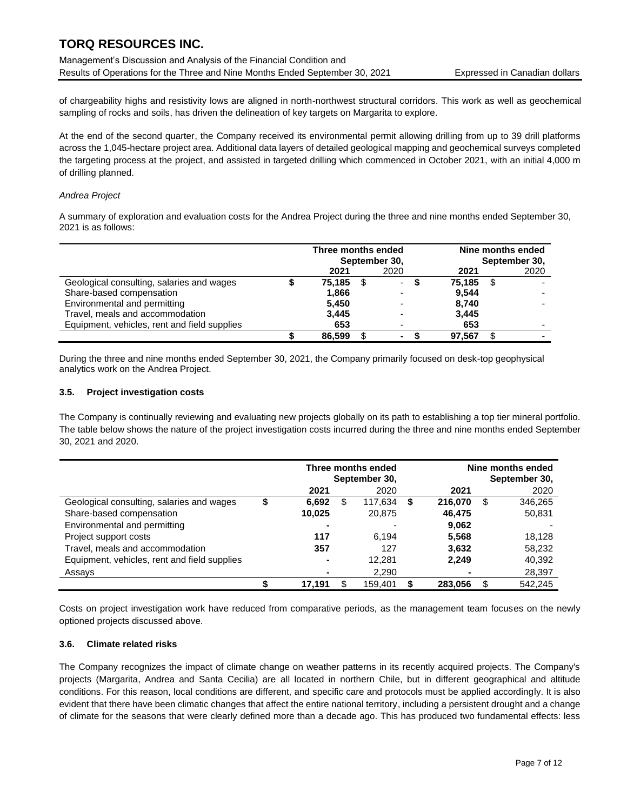Management's Discussion and Analysis of the Financial Condition and Results of Operations for the Three and Nine Months Ended September 30, 2021 Expressed in Canadian dollars

of chargeability highs and resistivity lows are aligned in north-northwest structural corridors. This work as well as geochemical sampling of rocks and soils, has driven the delineation of key targets on Margarita to explore.

At the end of the second quarter, the Company received its environmental permit allowing drilling from up to 39 drill platforms across the 1,045-hectare project area. Additional data layers of detailed geological mapping and geochemical surveys completed the targeting process at the project, and assisted in targeted drilling which commenced in October 2021, with an initial 4,000 m of drilling planned.

### *Andrea Project*

A summary of exploration and evaluation costs for the Andrea Project during the three and nine months ended September 30, 2021 is as follows:

|                                              | Three months ended |      | September 30,            | Nine months ended<br>September 30, |      |      |  |
|----------------------------------------------|--------------------|------|--------------------------|------------------------------------|------|------|--|
|                                              | 2021               |      | 2020                     | 2021                               |      | 2020 |  |
| Geological consulting, salaries and wages    | 75,185             | - \$ | $\overline{\phantom{a}}$ | 75,185                             | - \$ |      |  |
| Share-based compensation                     | 1.866              |      |                          | 9,544                              |      |      |  |
| Environmental and permitting                 | 5.450              |      |                          | 8.740                              |      |      |  |
| Travel, meals and accommodation              | 3.445              |      |                          | 3,445                              |      |      |  |
| Equipment, vehicles, rent and field supplies | 653                |      |                          | 653                                |      |      |  |
|                                              | 86.599             | \$   | $\blacksquare$           | 97.567                             |      |      |  |

During the three and nine months ended September 30, 2021, the Company primarily focused on desk-top geophysical analytics work on the Andrea Project.

#### **3.5. Project investigation costs**

The Company is continually reviewing and evaluating new projects globally on its path to establishing a top tier mineral portfolio. The table below shows the nature of the project investigation costs incurred during the three and nine months ended September 30, 2021 and 2020.

|                                              | Three months ended<br>September 30, |    |         |   |         | Nine months ended<br>September 30, |  |  |
|----------------------------------------------|-------------------------------------|----|---------|---|---------|------------------------------------|--|--|
|                                              | 2021                                |    | 2020    |   | 2021    | 2020                               |  |  |
| Geological consulting, salaries and wages    | \$<br>6.692                         | S  | 117.634 | S | 216.070 | \$<br>346,265                      |  |  |
| Share-based compensation                     | 10,025                              |    | 20,875  |   | 46,475  | 50,831                             |  |  |
| Environmental and permitting                 |                                     |    |         |   | 9,062   |                                    |  |  |
| Project support costs                        | 117                                 |    | 6.194   |   | 5,568   | 18.128                             |  |  |
| Travel, meals and accommodation              | 357                                 |    | 127     |   | 3,632   | 58,232                             |  |  |
| Equipment, vehicles, rent and field supplies | -                                   |    | 12,281  |   | 2,249   | 40,392                             |  |  |
| Assays                                       |                                     |    | 2,290   |   |         | 28,397                             |  |  |
|                                              | 17.191                              | S. | 159.401 |   | 283.056 | \$<br>542.245                      |  |  |

Costs on project investigation work have reduced from comparative periods, as the management team focuses on the newly optioned projects discussed above.

### **3.6. Climate related risks**

The Company recognizes the impact of climate change on weather patterns in its recently acquired projects. The Company's projects (Margarita, Andrea and Santa Cecilia) are all located in northern Chile, but in different geographical and altitude conditions. For this reason, local conditions are different, and specific care and protocols must be applied accordingly. It is also evident that there have been climatic changes that affect the entire national territory, including a persistent drought and a change of climate for the seasons that were clearly defined more than a decade ago. This has produced two fundamental effects: less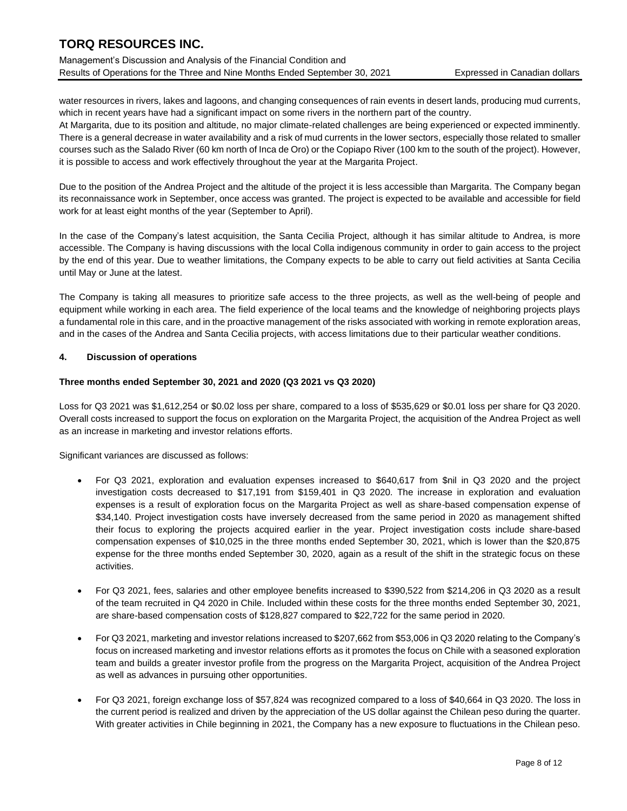Management's Discussion and Analysis of the Financial Condition and Results of Operations for the Three and Nine Months Ended September 30, 2021 Expressed in Canadian dollars

water resources in rivers, lakes and lagoons, and changing consequences of rain events in desert lands, producing mud currents, which in recent years have had a significant impact on some rivers in the northern part of the country.

At Margarita, due to its position and altitude, no major climate-related challenges are being experienced or expected imminently. There is a general decrease in water availability and a risk of mud currents in the lower sectors, especially those related to smaller courses such as the Salado River (60 km north of Inca de Oro) or the Copiapo River (100 km to the south of the project). However, it is possible to access and work effectively throughout the year at the Margarita Project.

Due to the position of the Andrea Project and the altitude of the project it is less accessible than Margarita. The Company began its reconnaissance work in September, once access was granted. The project is expected to be available and accessible for field work for at least eight months of the year (September to April).

In the case of the Company's latest acquisition, the Santa Cecilia Project, although it has similar altitude to Andrea, is more accessible. The Company is having discussions with the local Colla indigenous community in order to gain access to the project by the end of this year. Due to weather limitations, the Company expects to be able to carry out field activities at Santa Cecilia until May or June at the latest.

The Company is taking all measures to prioritize safe access to the three projects, as well as the well-being of people and equipment while working in each area. The field experience of the local teams and the knowledge of neighboring projects plays a fundamental role in this care, and in the proactive management of the risks associated with working in remote exploration areas, and in the cases of the Andrea and Santa Cecilia projects, with access limitations due to their particular weather conditions.

# **4. Discussion of operations**

### **Three months ended September 30, 2021 and 2020 (Q3 2021 vs Q3 2020)**

Loss for Q3 2021 was \$1,612,254 or \$0.02 loss per share, compared to a loss of \$535,629 or \$0.01 loss per share for Q3 2020. Overall costs increased to support the focus on exploration on the Margarita Project, the acquisition of the Andrea Project as well as an increase in marketing and investor relations efforts.

Significant variances are discussed as follows:

- For Q3 2021, exploration and evaluation expenses increased to \$640,617 from \$nil in Q3 2020 and the project investigation costs decreased to \$17,191 from \$159,401 in Q3 2020. The increase in exploration and evaluation expenses is a result of exploration focus on the Margarita Project as well as share-based compensation expense of \$34,140. Project investigation costs have inversely decreased from the same period in 2020 as management shifted their focus to exploring the projects acquired earlier in the year. Project investigation costs include share-based compensation expenses of \$10,025 in the three months ended September 30, 2021, which is lower than the \$20,875 expense for the three months ended September 30, 2020, again as a result of the shift in the strategic focus on these activities.
- For Q3 2021, fees, salaries and other employee benefits increased to \$390,522 from \$214,206 in Q3 2020 as a result of the team recruited in Q4 2020 in Chile. Included within these costs for the three months ended September 30, 2021, are share-based compensation costs of \$128,827 compared to \$22,722 for the same period in 2020.
- For Q3 2021, marketing and investor relations increased to \$207,662 from \$53,006 in Q3 2020 relating to the Company's focus on increased marketing and investor relations efforts as it promotes the focus on Chile with a seasoned exploration team and builds a greater investor profile from the progress on the Margarita Project, acquisition of the Andrea Project as well as advances in pursuing other opportunities.
- For Q3 2021, foreign exchange loss of \$57,824 was recognized compared to a loss of \$40,664 in Q3 2020. The loss in the current period is realized and driven by the appreciation of the US dollar against the Chilean peso during the quarter. With greater activities in Chile beginning in 2021, the Company has a new exposure to fluctuations in the Chilean peso.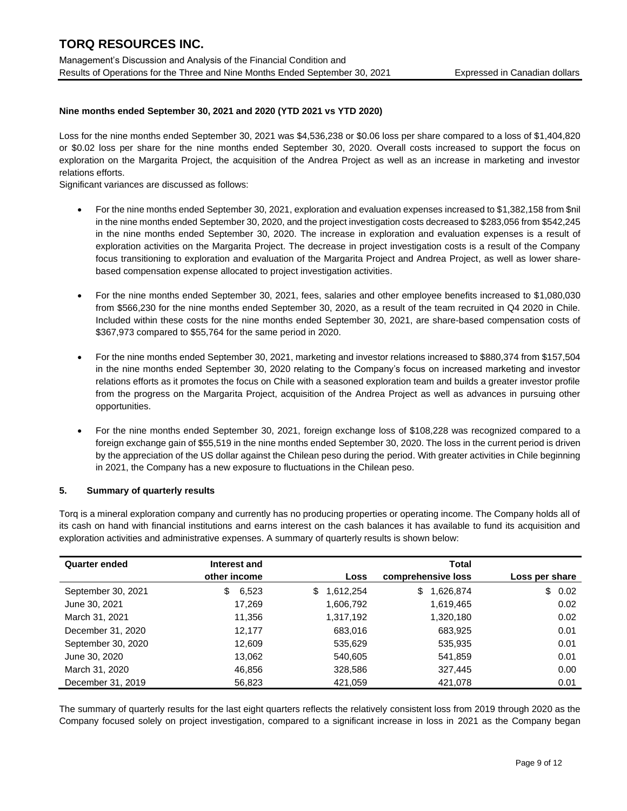# **Nine months ended September 30, 2021 and 2020 (YTD 2021 vs YTD 2020)**

Loss for the nine months ended September 30, 2021 was \$4,536,238 or \$0.06 loss per share compared to a loss of \$1,404,820 or \$0.02 loss per share for the nine months ended September 30, 2020. Overall costs increased to support the focus on exploration on the Margarita Project, the acquisition of the Andrea Project as well as an increase in marketing and investor relations efforts.

Significant variances are discussed as follows:

- For the nine months ended September 30, 2021, exploration and evaluation expenses increased to \$1,382,158 from \$nil in the nine months ended September 30, 2020, and the project investigation costs decreased to \$283,056 from \$542,245 in the nine months ended September 30, 2020. The increase in exploration and evaluation expenses is a result of exploration activities on the Margarita Project. The decrease in project investigation costs is a result of the Company focus transitioning to exploration and evaluation of the Margarita Project and Andrea Project, as well as lower sharebased compensation expense allocated to project investigation activities.
- For the nine months ended September 30, 2021, fees, salaries and other employee benefits increased to \$1,080,030 from \$566,230 for the nine months ended September 30, 2020, as a result of the team recruited in Q4 2020 in Chile. Included within these costs for the nine months ended September 30, 2021, are share-based compensation costs of \$367,973 compared to \$55,764 for the same period in 2020.
- For the nine months ended September 30, 2021, marketing and investor relations increased to \$880,374 from \$157,504 in the nine months ended September 30, 2020 relating to the Company's focus on increased marketing and investor relations efforts as it promotes the focus on Chile with a seasoned exploration team and builds a greater investor profile from the progress on the Margarita Project, acquisition of the Andrea Project as well as advances in pursuing other opportunities.
- For the nine months ended September 30, 2021, foreign exchange loss of \$108,228 was recognized compared to a foreign exchange gain of \$55,519 in the nine months ended September 30, 2020. The loss in the current period is driven by the appreciation of the US dollar against the Chilean peso during the period. With greater activities in Chile beginning in 2021, the Company has a new exposure to fluctuations in the Chilean peso.

# **5. Summary of quarterly results**

Torq is a mineral exploration company and currently has no producing properties or operating income. The Company holds all of its cash on hand with financial institutions and earns interest on the cash balances it has available to fund its acquisition and exploration activities and administrative expenses. A summary of quarterly results is shown below:

| <b>Quarter ended</b> | Interest and |                 | <b>Total</b>       |                |  |  |  |  |  |  |  |  |  |  |  |  |  |
|----------------------|--------------|-----------------|--------------------|----------------|--|--|--|--|--|--|--|--|--|--|--|--|--|
|                      | other income | Loss            | comprehensive loss | Loss per share |  |  |  |  |  |  |  |  |  |  |  |  |  |
| September 30, 2021   | 6,523<br>\$  | 1,612,254<br>\$ | \$<br>1,626,874    | \$0.02         |  |  |  |  |  |  |  |  |  |  |  |  |  |
| June 30, 2021        | 17,269       | 1,606,792       | 1,619,465          | 0.02           |  |  |  |  |  |  |  |  |  |  |  |  |  |
| March 31, 2021       | 11.356       | 1,317,192       | 1,320,180          | 0.02           |  |  |  |  |  |  |  |  |  |  |  |  |  |
| December 31, 2020    | 12.177       | 683,016         | 683,925            | 0.01           |  |  |  |  |  |  |  |  |  |  |  |  |  |
| September 30, 2020   | 12,609       | 535,629         | 535,935            | 0.01           |  |  |  |  |  |  |  |  |  |  |  |  |  |
| June 30, 2020        | 13,062       | 540,605         | 541,859            | 0.01           |  |  |  |  |  |  |  |  |  |  |  |  |  |
| March 31, 2020       | 46.856       | 328,586         | 327,445            | 0.00           |  |  |  |  |  |  |  |  |  |  |  |  |  |
| December 31, 2019    | 56,823       | 421,059         | 421,078            | 0.01           |  |  |  |  |  |  |  |  |  |  |  |  |  |

The summary of quarterly results for the last eight quarters reflects the relatively consistent loss from 2019 through 2020 as the Company focused solely on project investigation, compared to a significant increase in loss in 2021 as the Company began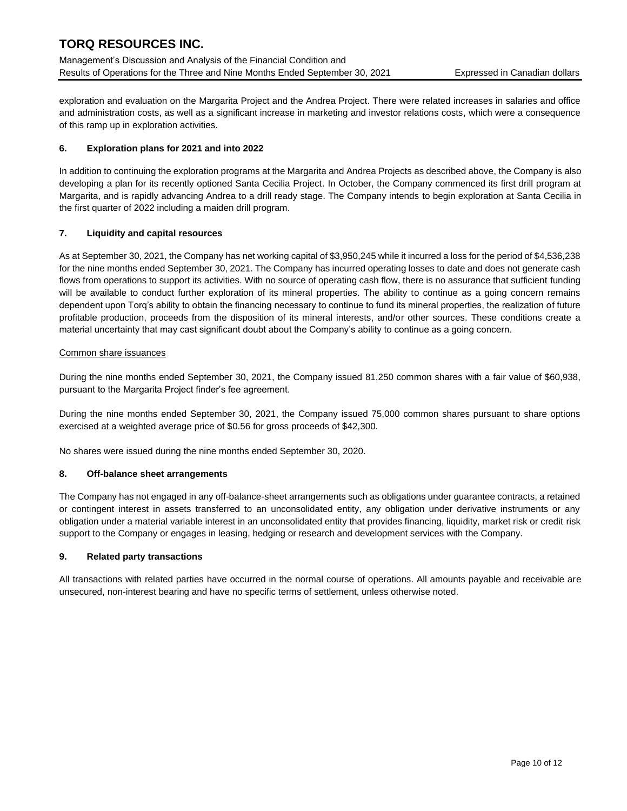Management's Discussion and Analysis of the Financial Condition and Results of Operations for the Three and Nine Months Ended September 30, 2021 Expressed in Canadian dollars

exploration and evaluation on the Margarita Project and the Andrea Project. There were related increases in salaries and office and administration costs, as well as a significant increase in marketing and investor relations costs, which were a consequence of this ramp up in exploration activities.

# **6. Exploration plans for 2021 and into 2022**

In addition to continuing the exploration programs at the Margarita and Andrea Projects as described above, the Company is also developing a plan for its recently optioned Santa Cecilia Project. In October, the Company commenced its first drill program at Margarita, and is rapidly advancing Andrea to a drill ready stage. The Company intends to begin exploration at Santa Cecilia in the first quarter of 2022 including a maiden drill program.

# **7. Liquidity and capital resources**

As at September 30, 2021, the Company has net working capital of \$3,950,245 while it incurred a loss for the period of \$4,536,238 for the nine months ended September 30, 2021. The Company has incurred operating losses to date and does not generate cash flows from operations to support its activities. With no source of operating cash flow, there is no assurance that sufficient funding will be available to conduct further exploration of its mineral properties. The ability to continue as a going concern remains dependent upon Torq's ability to obtain the financing necessary to continue to fund its mineral properties, the realization of future profitable production, proceeds from the disposition of its mineral interests, and/or other sources. These conditions create a material uncertainty that may cast significant doubt about the Company's ability to continue as a going concern.

# Common share issuances

During the nine months ended September 30, 2021, the Company issued 81,250 common shares with a fair value of \$60,938, pursuant to the Margarita Project finder's fee agreement.

During the nine months ended September 30, 2021, the Company issued 75,000 common shares pursuant to share options exercised at a weighted average price of \$0.56 for gross proceeds of \$42,300.

No shares were issued during the nine months ended September 30, 2020.

### **8. Off-balance sheet arrangements**

The Company has not engaged in any off-balance-sheet arrangements such as obligations under guarantee contracts, a retained or contingent interest in assets transferred to an unconsolidated entity, any obligation under derivative instruments or any obligation under a material variable interest in an unconsolidated entity that provides financing, liquidity, market risk or credit risk support to the Company or engages in leasing, hedging or research and development services with the Company.

### **9. Related party transactions**

All transactions with related parties have occurred in the normal course of operations. All amounts payable and receivable are unsecured, non-interest bearing and have no specific terms of settlement, unless otherwise noted.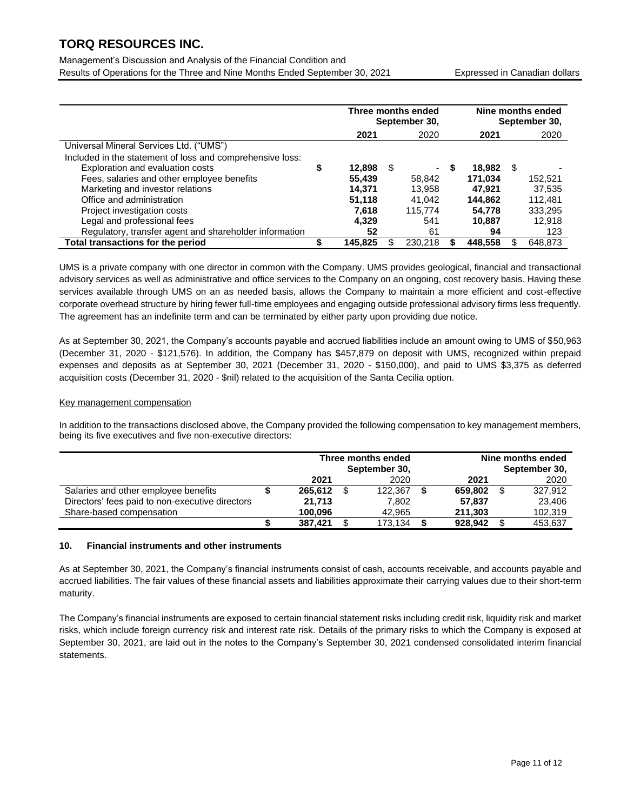Management's Discussion and Analysis of the Financial Condition and Results of Operations for the Three and Nine Months Ended September 30, 2021 Expressed in Canadian dollars

|                                                           |    | Three months ended<br>September 30, |      |         |   | Nine months ended<br>September 30, |      |         |  |
|-----------------------------------------------------------|----|-------------------------------------|------|---------|---|------------------------------------|------|---------|--|
|                                                           |    | 2021                                |      | 2020    |   | 2021                               |      | 2020    |  |
| Universal Mineral Services Ltd. ("UMS")                   |    |                                     |      |         |   |                                    |      |         |  |
| Included in the statement of loss and comprehensive loss: |    |                                     |      |         |   |                                    |      |         |  |
| Exploration and evaluation costs                          | \$ | 12,898                              | - \$ | ٠       | S | 18.982                             | - \$ |         |  |
| Fees, salaries and other employee benefits                |    | 55,439                              |      | 58,842  |   | 171.034                            |      | 152.521 |  |
| Marketing and investor relations                          |    | 14,371                              |      | 13,958  |   | 47.921                             |      | 37,535  |  |
| Office and administration                                 |    | 51.118                              |      | 41.042  |   | 144.862                            |      | 112.481 |  |
| Project investigation costs                               |    | 7,618                               |      | 115.774 |   | 54,778                             |      | 333,295 |  |
| Legal and professional fees                               |    | 4.329                               |      | 541     |   | 10,887                             |      | 12,918  |  |
| Regulatory, transfer agent and shareholder information    |    | 52                                  |      | 61      |   | 94                                 |      | 123     |  |
| Total transactions for the period                         | S  | 145.825                             |      | 230.218 |   | 448.558                            |      | 648.873 |  |

UMS is a private company with one director in common with the Company. UMS provides geological, financial and transactional advisory services as well as administrative and office services to the Company on an ongoing, cost recovery basis. Having these services available through UMS on an as needed basis, allows the Company to maintain a more efficient and cost-effective corporate overhead structure by hiring fewer full-time employees and engaging outside professional advisory firms less frequently. The agreement has an indefinite term and can be terminated by either party upon providing due notice.

As at September 30, 2021, the Company's accounts payable and accrued liabilities include an amount owing to UMS of \$50,963 (December 31, 2020 - \$121,576). In addition, the Company has \$457,879 on deposit with UMS, recognized within prepaid expenses and deposits as at September 30, 2021 (December 31, 2020 - \$150,000), and paid to UMS \$3,375 as deferred acquisition costs (December 31, 2020 - \$nil) related to the acquisition of the Santa Cecilia option.

#### Key management compensation

In addition to the transactions disclosed above, the Company provided the following compensation to key management members, being its five executives and five non-executive directors:

|                                                 | Three months ended<br>September 30, |      |         |         | Nine months ended<br>September 30, |
|-------------------------------------------------|-------------------------------------|------|---------|---------|------------------------------------|
|                                                 | 2021                                |      | 2020    | 2021    | 2020                               |
| Salaries and other employee benefits            | 265.612                             | - \$ | 122.367 | 659.802 | 327.912                            |
| Directors' fees paid to non-executive directors | 21.713                              |      | 7.802   | 57.837  | 23.406                             |
| Share-based compensation                        | 100.096                             |      | 42.965  | 211.303 | 102,319                            |
|                                                 | 387.421                             |      | 173.134 | 928.942 | 453.637                            |

### **10. Financial instruments and other instruments**

As at September 30, 2021, the Company's financial instruments consist of cash, accounts receivable, and accounts payable and accrued liabilities. The fair values of these financial assets and liabilities approximate their carrying values due to their short-term maturity.

The Company's financial instruments are exposed to certain financial statement risks including credit risk, liquidity risk and market risks, which include foreign currency risk and interest rate risk. Details of the primary risks to which the Company is exposed at September 30, 2021, are laid out in the notes to the Company's September 30, 2021 condensed consolidated interim financial statements.